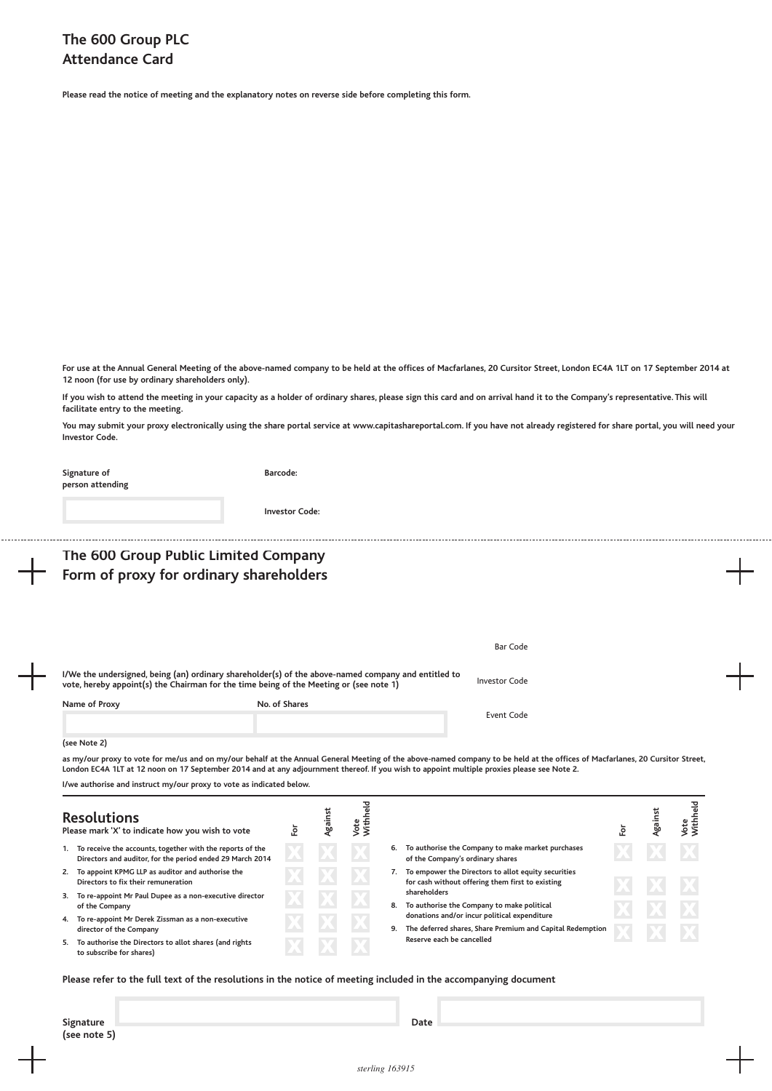**Please read the notice of meeting and the explanatory notes on reverse side before completing this form.**

For use at the Annual General Meeting of the above-named company to be held at the offices of Macfarlanes, 20 Cursitor Street, London EC4A 1LT on 17 September 2014 at **12 noon (for use by ordinary shareholders only).**

If you wish to attend the meeting in your capacity as a holder of ordinary shares, please sign this card and on arrival hand it to the Company's representative. This will **facilitate entry to the meeting.**

You may submit your proxy electronically using the share portal service at www.capitashareportal.com. If you have not already registered for share portal, you will need your **Investor Code.**

| Signature of<br>person attending                                                                                                                                                              | Barcode:              |         |                  |  |                                                                                                                                                                               |     |         |                  |  |
|-----------------------------------------------------------------------------------------------------------------------------------------------------------------------------------------------|-----------------------|---------|------------------|--|-------------------------------------------------------------------------------------------------------------------------------------------------------------------------------|-----|---------|------------------|--|
|                                                                                                                                                                                               | <b>Investor Code:</b> |         |                  |  |                                                                                                                                                                               |     |         |                  |  |
| The 600 Group Public Limited Company                                                                                                                                                          |                       |         |                  |  |                                                                                                                                                                               |     |         |                  |  |
| Form of proxy for ordinary shareholders                                                                                                                                                       |                       |         |                  |  |                                                                                                                                                                               |     |         |                  |  |
|                                                                                                                                                                                               |                       |         |                  |  |                                                                                                                                                                               |     |         |                  |  |
|                                                                                                                                                                                               |                       |         |                  |  | <b>Bar Code</b>                                                                                                                                                               |     |         |                  |  |
| I/We the undersigned, being (an) ordinary shareholder(s) of the above-named company and entitled to<br>vote, hereby appoint(s) the Chairman for the time being of the Meeting or (see note 1) |                       |         |                  |  | <b>Investor Code</b>                                                                                                                                                          |     |         |                  |  |
| Name of Proxy                                                                                                                                                                                 | No. of Shares         |         |                  |  | Event Code                                                                                                                                                                    |     |         |                  |  |
| (see Note 2)                                                                                                                                                                                  |                       |         |                  |  |                                                                                                                                                                               |     |         |                  |  |
| London EC4A 1LT at 12 noon on 17 September 2014 and at any adjournment thereof. If you wish to appoint multiple proxies please see Note 2.                                                    |                       |         |                  |  | as my/our proxy to vote for me/us and on my/our behalf at the Annual General Meeting of the above-named company to be held at the offices of Macfarlanes, 20 Cursitor Street, |     |         |                  |  |
| I/we authorise and instruct my/our proxy to vote as indicated below.                                                                                                                          |                       |         |                  |  |                                                                                                                                                                               |     |         |                  |  |
| <b>Resolutions</b><br>Please mark 'X' to indicate how you wish to vote                                                                                                                        | For                   | Against | Vote<br>Withheld |  |                                                                                                                                                                               | For | Against | Vote<br>Withheld |  |
| 1. To receive the accounts, together with the reports of the<br>Directors and auditor, for the period ended 29 March 2014                                                                     |                       |         |                  |  | 6. To authorise the Company to make market purchases<br>of the Company's ordinary shares                                                                                      |     |         |                  |  |
| 2. To appoint KPMG LLP as auditor and authorise the<br>Directors to fix their remuneration                                                                                                    |                       |         |                  |  | 7. To empower the Directors to allot equity securities<br>for cash without offering them first to existing                                                                    |     |         |                  |  |
| 3. To re-appoint Mr Paul Dupee as a non-executive director<br>of the Company                                                                                                                  |                       |         |                  |  | shareholders<br>8. To authorise the Company to make political                                                                                                                 |     |         |                  |  |
| 4. To re-appoint Mr Derek Zissman as a non-executive<br>director of the Company                                                                                                               |                       |         |                  |  | donations and/or incur political expenditure<br>9. The deferred shares, Share Premium and Capital Redemption                                                                  |     |         |                  |  |
| 5. To authorise the Directors to allot shares (and rights<br>to subscribe for shares)                                                                                                         |                       |         |                  |  | Reserve each be cancelled                                                                                                                                                     |     |         |                  |  |

Please refer to the full text of the resolutions in the notice of meeting included in the accompanying document

**Signature Date (see note 5)**